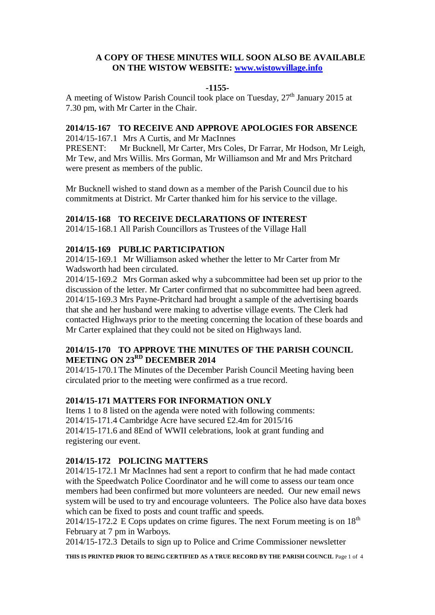## **A COPY OF THESE MINUTES WILL SOON ALSO BE AVAILABLE ON THE WISTOW WEBSITE: [www.wistowvillage.info](http://www.wistowvillage.info/)**

### **-1155-**

A meeting of Wistow Parish Council took place on Tuesday,  $27<sup>th</sup>$  January 2015 at 7.30 pm, with Mr Carter in the Chair.

## **2014/15-167 TO RECEIVE AND APPROVE APOLOGIES FOR ABSENCE**

2014/15-167.1 Mrs A Curtis, and Mr MacInnes

PRESENT: Mr Bucknell, Mr Carter, Mrs Coles, Dr Farrar, Mr Hodson, Mr Leigh, Mr Tew, and Mrs Willis. Mrs Gorman, Mr Williamson and Mr and Mrs Pritchard were present as members of the public.

Mr Bucknell wished to stand down as a member of the Parish Council due to his commitments at District. Mr Carter thanked him for his service to the village.

#### **2014/15-168 TO RECEIVE DECLARATIONS OF INTEREST**

2014/15-168.1 All Parish Councillors as Trustees of the Village Hall

#### **2014/15-169 PUBLIC PARTICIPATION**

2014/15-169.1 Mr Williamson asked whether the letter to Mr Carter from Mr Wadsworth had been circulated.

2014/15-169.2 Mrs Gorman asked why a subcommittee had been set up prior to the discussion of the letter. Mr Carter confirmed that no subcommittee had been agreed. 2014/15-169.3 Mrs Payne-Pritchard had brought a sample of the advertising boards that she and her husband were making to advertise village events. The Clerk had contacted Highways prior to the meeting concerning the location of these boards and Mr Carter explained that they could not be sited on Highways land.

# **2014/15-170 TO APPROVE THE MINUTES OF THE PARISH COUNCIL MEETING ON 23RD DECEMBER 2014**

2014/15-170.1The Minutes of the December Parish Council Meeting having been circulated prior to the meeting were confirmed as a true record.

#### **2014/15-171 MATTERS FOR INFORMATION ONLY**

Items 1 to 8 listed on the agenda were noted with following comments: 2014/15-171.4 Cambridge Acre have secured £2.4m for 2015/16 2014/15-171.6 and 8End of WWII celebrations, look at grant funding and registering our event.

### **2014/15-172 POLICING MATTERS**

2014/15-172.1 Mr MacInnes had sent a report to confirm that he had made contact with the Speedwatch Police Coordinator and he will come to assess our team once members had been confirmed but more volunteers are needed. Our new email news system will be used to try and encourage volunteers. The Police also have data boxes which can be fixed to posts and count traffic and speeds.

2014/15-172.2 E Cops updates on crime figures. The next Forum meeting is on  $18<sup>th</sup>$ February at 7 pm in Warboys.

2014/15-172.3 Details to sign up to Police and Crime Commissioner newsletter

**THIS IS PRINTED PRIOR TO BEING CERTIFIED AS A TRUE RECORD BY THE PARISH COUNCIL** Page 1 of 4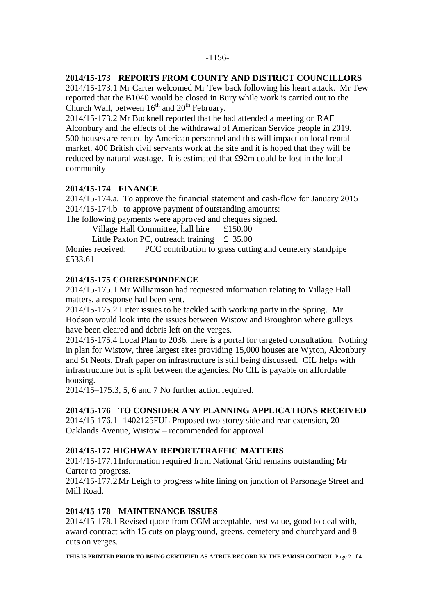### **2014/15-173 REPORTS FROM COUNTY AND DISTRICT COUNCILLORS**

2014/15-173.1 Mr Carter welcomed Mr Tew back following his heart attack. Mr Tew reported that the B1040 would be closed in Bury while work is carried out to the Church Wall, between  $16^{th}$  and  $20^{th}$  February.

2014/15-173.2 Mr Bucknell reported that he had attended a meeting on RAF Alconbury and the effects of the withdrawal of American Service people in 2019. 500 houses are rented by American personnel and this will impact on local rental market. 400 British civil servants work at the site and it is hoped that they will be reduced by natural wastage. It is estimated that £92m could be lost in the local community

# **2014/15-174 FINANCE**

2014/15-174.a. To approve the financial statement and cash-flow for January 2015 2014/15-174.b to approve payment of outstanding amounts:

The following payments were approved and cheques signed.

Village Hall Committee, hall hire £150.00

Little Paxton PC, outreach training  $\pm$  35.00

Monies received: PCC contribution to grass cutting and cemetery standpipe £533.61

## **2014/15-175 CORRESPONDENCE**

2014/15-175.1 Mr Williamson had requested information relating to Village Hall matters, a response had been sent.

2014/15-175.2 Litter issues to be tackled with working party in the Spring. Mr Hodson would look into the issues between Wistow and Broughton where gulleys have been cleared and debris left on the verges.

2014/15-175.4 Local Plan to 2036, there is a portal for targeted consultation. Nothing in plan for Wistow, three largest sites providing 15,000 houses are Wyton, Alconbury and St Neots. Draft paper on infrastructure is still being discussed. CIL helps with infrastructure but is split between the agencies. No CIL is payable on affordable housing.

2014/15–175.3, 5, 6 and 7 No further action required.

### **2014/15-176 TO CONSIDER ANY PLANNING APPLICATIONS RECEIVED**

2014/15-176.1 1402125FUL Proposed two storey side and rear extension, 20 Oaklands Avenue, Wistow – recommended for approval

# **2014/15-177 HIGHWAY REPORT/TRAFFIC MATTERS**

2014/15-177.1Information required from National Grid remains outstanding Mr Carter to progress.

2014/15-177.2Mr Leigh to progress white lining on junction of Parsonage Street and Mill Road.

## **2014/15-178 MAINTENANCE ISSUES**

2014/15-178.1 Revised quote from CGM acceptable, best value, good to deal with, award contract with 15 cuts on playground, greens, cemetery and churchyard and 8 cuts on verges.

**THIS IS PRINTED PRIOR TO BEING CERTIFIED AS A TRUE RECORD BY THE PARISH COUNCIL** Page 2 of 4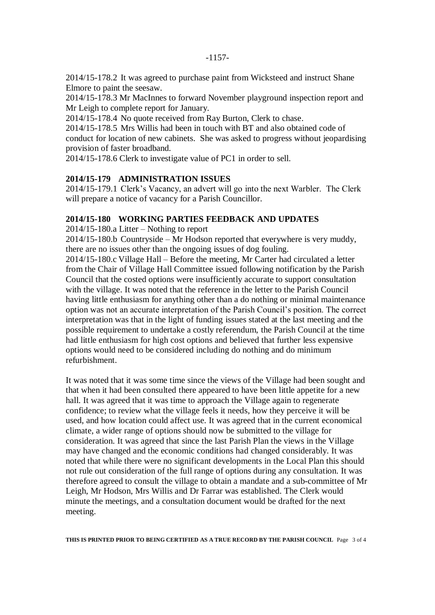2014/15-178.2 It was agreed to purchase paint from Wicksteed and instruct Shane Elmore to paint the seesaw.

2014/15-178.3 Mr MacInnes to forward November playground inspection report and Mr Leigh to complete report for January.

2014/15-178.4 No quote received from Ray Burton, Clerk to chase.

2014/15-178.5 Mrs Willis had been in touch with BT and also obtained code of conduct for location of new cabinets. She was asked to progress without jeopardising provision of faster broadband.

2014/15-178.6 Clerk to investigate value of PC1 in order to sell.

## **2014/15-179 ADMINISTRATION ISSUES**

2014/15-179.1 Clerk's Vacancy, an advert will go into the next Warbler. The Clerk will prepare a notice of vacancy for a Parish Councillor.

### **2014/15-180 WORKING PARTIES FEEDBACK AND UPDATES**

2014/15-180.a Litter – Nothing to report

2014/15-180.b Countryside – Mr Hodson reported that everywhere is very muddy, there are no issues other than the ongoing issues of dog fouling.

2014/15-180.c Village Hall – Before the meeting, Mr Carter had circulated a letter from the Chair of Village Hall Committee issued following notification by the Parish Council that the costed options were insufficiently accurate to support consultation with the village. It was noted that the reference in the letter to the Parish Council having little enthusiasm for anything other than a do nothing or minimal maintenance option was not an accurate interpretation of the Parish Council's position. The correct interpretation was that in the light of funding issues stated at the last meeting and the possible requirement to undertake a costly referendum, the Parish Council at the time had little enthusiasm for high cost options and believed that further less expensive options would need to be considered including do nothing and do minimum refurbishment.

It was noted that it was some time since the views of the Village had been sought and that when it had been consulted there appeared to have been little appetite for a new hall. It was agreed that it was time to approach the Village again to regenerate confidence; to review what the village feels it needs, how they perceive it will be used, and how location could affect use. It was agreed that in the current economical climate, a wider range of options should now be submitted to the village for consideration. It was agreed that since the last Parish Plan the views in the Village may have changed and the economic conditions had changed considerably. It was noted that while there were no significant developments in the Local Plan this should not rule out consideration of the full range of options during any consultation. It was therefore agreed to consult the village to obtain a mandate and a sub-committee of Mr Leigh, Mr Hodson, Mrs Willis and Dr Farrar was established. The Clerk would minute the meetings, and a consultation document would be drafted for the next meeting.

**THIS IS PRINTED PRIOR TO BEING CERTIFIED AS A TRUE RECORD BY THE PARISH COUNCIL** Page 3 of 4